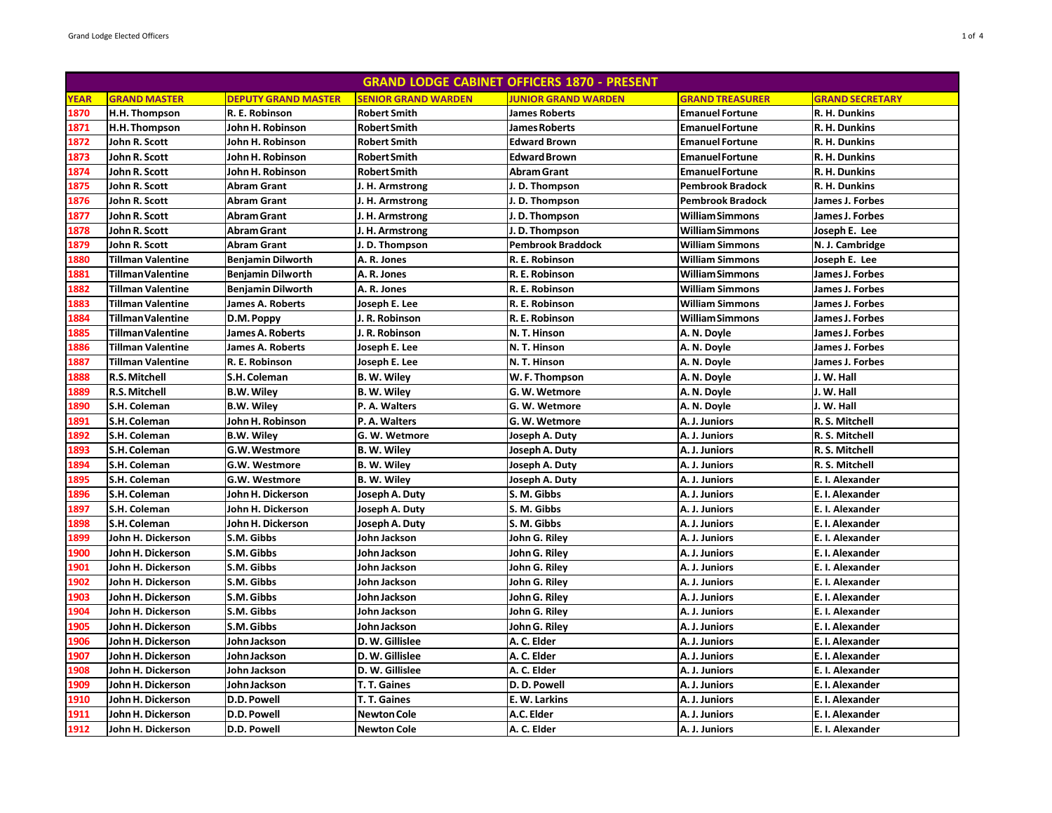|             |                          |                            |                            | <b>GRAND LODGE CABINET OFFICERS 1870 - PRESENT</b> |                         |                         |
|-------------|--------------------------|----------------------------|----------------------------|----------------------------------------------------|-------------------------|-------------------------|
| <b>YEAR</b> | <b>GRAND MASTER</b>      | <b>DEPUTY GRAND MASTER</b> | <b>SENIOR GRAND WARDEN</b> | <b>JUNIOR GRAND WARDEN</b>                         | <b>GRAND TREASURER</b>  | <b>GRAND SECRETARY</b>  |
| 1870        | H.H. Thompson            | R. E. Robinson             | <b>Robert Smith</b>        | <b>James Roberts</b>                               | <b>Emanuel Fortune</b>  | R. H. Dunkins           |
| 1871        | H.H. Thompson            | John H. Robinson           | <b>Robert Smith</b>        | <b>James Roberts</b>                               | <b>EmanuelFortune</b>   | R. H. Dunkins           |
| 1872        | John R. Scott            | John H. Robinson           | <b>Robert Smith</b>        | <b>Edward Brown</b>                                | <b>Emanuel Fortune</b>  | R. H. Dunkins           |
| 1873        | John R. Scott            | John H. Robinson           | <b>Robert Smith</b>        | <b>Edward Brown</b>                                | <b>EmanuelFortune</b>   | R. H. Dunkins           |
| 1874        | John R. Scott            | John H. Robinson           | <b>Robert Smith</b>        | Abram Grant                                        | <b>EmanuelFortune</b>   | R. H. Dunkins           |
| 1875        | John R. Scott            | Abram Grant                | J. H. Armstrong            | J.D. Thompson                                      | <b>Pembrook Bradock</b> | R. H. Dunkins           |
| 1876        | John R. Scott            | Abram Grant                | J. H. Armstrong            | J.D. Thompson                                      | <b>Pembrook Bradock</b> | James J. Forbes         |
| 1877        | John R. Scott            | <b>Abram Grant</b>         | J. H. Armstrong            | J.D. Thompson                                      | <b>William Simmons</b>  | James J. Forbes         |
| 1878        | John R. Scott            | Abram Grant                | J. H. Armstrong            | J.D. Thompson                                      | <b>William Simmons</b>  | Joseph E. Lee           |
| 1879        | John R. Scott            | <b>Abram Grant</b>         | D. Thompson                | <b>Pembrook Braddock</b>                           | <b>William Simmons</b>  | N. J. Cambridge         |
| 1880        | <b>Tillman Valentine</b> | <b>Benjamin Dilworth</b>   | A. R. Jones                | R. E. Robinson                                     | <b>William Simmons</b>  | Joseph E. Lee           |
| 1881        | <b>Tillman Valentine</b> | Benjamin Dilworth          | A. R. Jones                | R. E. Robinson                                     | <b>William Simmons</b>  | James J. Forbes         |
| 1882        | <b>Tillman Valentine</b> | <b>Benjamin Dilworth</b>   | A. R. Jones                | R. E. Robinson                                     | <b>William Simmons</b>  | James J. Forbes         |
| 1883        | <b>Tillman Valentine</b> | James A. Roberts           | Joseph E. Lee              | R. E. Robinson                                     | <b>William Simmons</b>  | James J. Forbes         |
| 1884        | <b>Tillman Valentine</b> | D.M. Poppy                 | . R. Robinson              | R. E. Robinson                                     | <b>William Simmons</b>  | James J. Forbes         |
| 1885        | <b>Tillman Valentine</b> | James A. Roberts           | . R. Robinson              | N.T. Hinson                                        | A. N. Doyle             | James J. Forbes         |
| 1886        | <b>Tillman Valentine</b> | James A. Roberts           | Joseph E. Lee              | N.T. Hinson                                        | A. N. Doyle             | James J. Forbes         |
| 1887        | <b>Tillman Valentine</b> | R. E. Robinson             | Joseph E. Lee              | N.T. Hinson                                        | A. N. Doyle             | James J. Forbes         |
| 1888        | <b>R.S. Mitchell</b>     | S.H. Coleman               | B. W. Wiley                | W.F. Thompson                                      | A. N. Doyle             | J. W. Hall              |
| 1889        | R.S. Mitchell            | <b>B.W. Wiley</b>          | <b>B. W. Wiley</b>         | G. W. Wetmore                                      | A. N. Doyle             | J. W. Hall              |
| 1890        | S.H. Coleman             | <b>B.W. Wiley</b>          | P. A. Walters              | G. W. Wetmore                                      | A. N. Doyle             | J. W. Hall              |
| 1891        | S.H. Coleman             | John H. Robinson           | P. A. Walters              | G. W. Wetmore                                      | A. J. Juniors           | R. S. Mitchell          |
| 1892        | S.H. Coleman             | <b>B.W. Wiley</b>          | G. W. Wetmore              | Joseph A. Duty                                     | A. J. Juniors           | R. S. Mitchell          |
| 1893        | S.H. Coleman             | G.W. Westmore              | <b>B. W. Wiley</b>         | Joseph A. Duty                                     | A. J. Juniors           | R. S. Mitchell          |
| 1894        | S.H. Coleman             | G.W. Westmore              | B. W. Wiley                | Joseph A. Duty                                     | A. J. Juniors           | R. S. Mitchell          |
| 1895        | S.H. Coleman             | G.W. Westmore              | B. W. Wiley                | Joseph A. Duty                                     | A. J. Juniors           | E. I. Alexander         |
| 1896        | S.H. Coleman             | John H. Dickerson          | Joseph A. Duty             | S. M. Gibbs                                        | A. J. Juniors           | E. I. Alexander         |
| 1897        | S.H. Coleman             | John H. Dickerson          | Joseph A. Duty             | S. M. Gibbs                                        | A. J. Juniors           | E. I. Alexander         |
| 1898        | S.H. Coleman             | John H. Dickerson          | Joseph A. Duty             | S. M. Gibbs                                        | A. J. Juniors           | E. I. Alexander         |
| 1899        | John H. Dickerson        | S.M. Gibbs                 | John Jackson               | John G. Riley                                      | A. J. Juniors           | E. I. Alexander         |
| 1900        | John H. Dickerson        | S.M. Gibbs                 | John Jackson               | John G. Riley                                      | A. J. Juniors           | <b>E. I. Alexander</b>  |
| 1901        | John H. Dickerson        | S.M. Gibbs                 | John Jackson               | John G. Riley                                      | A. J. Juniors           | E. I. Alexander         |
| 1902        | John H. Dickerson        | S.M. Gibbs                 | John Jackson               | John G. Riley                                      | A. J. Juniors           | E. I. Alexander         |
| 1903        | John H. Dickerson        | S.M. Gibbs                 | John Jackson               | John G. Riley                                      | A. J. Juniors           | E. I. Alexander         |
| 1904        | John H. Dickerson        | S.M. Gibbs                 | John Jackson               | John G. Riley                                      | A. J. Juniors           | E. I. Alexander         |
| 1905        | John H. Dickerson        | S.M. Gibbs                 | John Jackson               | John G. Riley                                      | A. J. Juniors           | E. I. Alexander         |
| 1906        | John H. Dickerson        | John Jackson               | D. W. Gillislee            | A. C. Elder                                        | A. J. Juniors           | <b>IE. I. Alexander</b> |
| 1907        | John H. Dickerson        | John Jackson               | D. W. Gillislee            | A. C. Elder                                        | A. J. Juniors           | E. I. Alexander         |
| 1908        | John H. Dickerson        | John Jackson               | D. W. Gillislee            | A. C. Elder                                        | A. J. Juniors           | E. I. Alexander         |
| 1909        | John H. Dickerson        | John Jackson               | T. T. Gaines               | D.D. Powell                                        | A. J. Juniors           | E. I. Alexander         |
| 1910        | John H. Dickerson        | <b>D.D. Powell</b>         | T. T. Gaines               | E. W. Larkins                                      | A. J. Juniors           | E. I. Alexander         |
| 1911        | John H. Dickerson        | <b>D.D. Powell</b>         | <b>Newton Cole</b>         | A.C. Elder                                         | A. J. Juniors           | <b>E. I. Alexander</b>  |
| 1912        | John H. Dickerson        | D.D. Powell                | <b>Newton Cole</b>         | A. C. Elder                                        | A. J. Juniors           | E. I. Alexander         |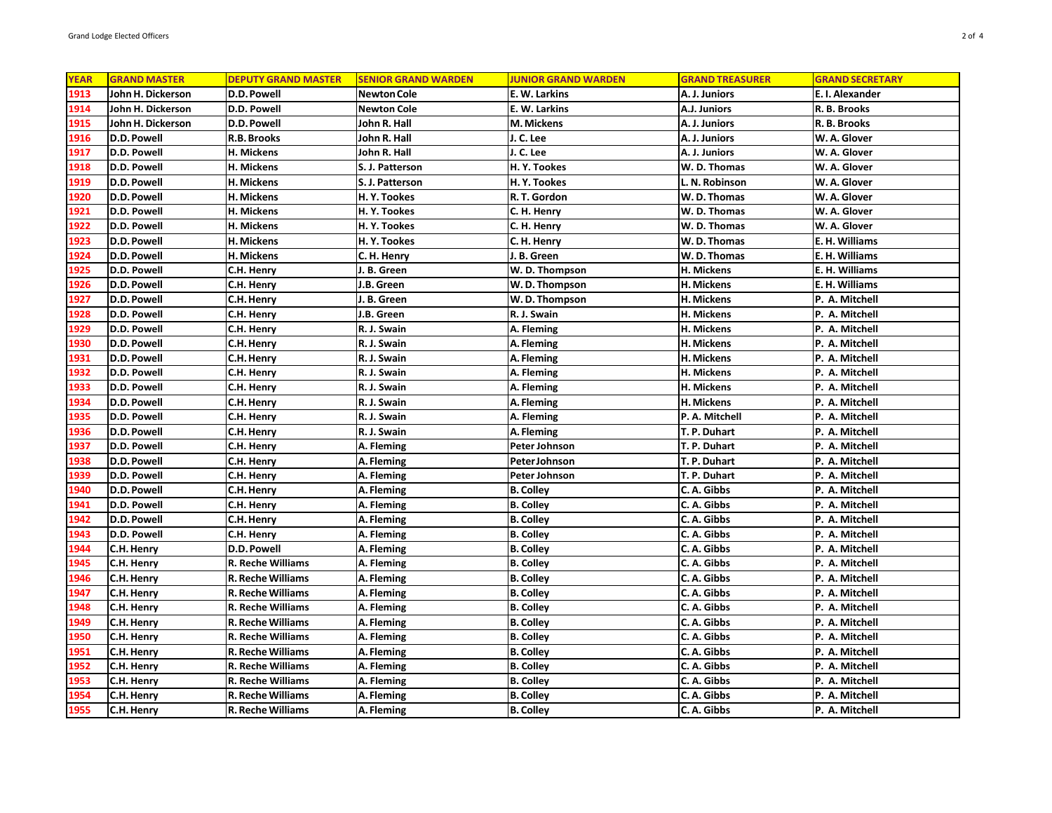| <b>YEAR</b><br><b>GRAND MASTER</b><br><b>DEPUTY GRAND MASTER</b><br><b>SENIOR GRAND WARDEN</b><br><b>JUNIOR GRAND WARDEN</b><br><b>GRAND TREASURER</b><br><b>GRAND SECRETARY</b><br>1913<br>John H. Dickerson<br>D.D. Powell<br>Newton Cole<br>E. W. Larkins<br>A. J. Juniors<br>E. I. Alexander<br>1914<br>John H. Dickerson<br>D.D. Powell<br>Newton Cole<br>E. W. Larkins<br>A.J. Juniors<br>R. B. Brooks<br>1915<br>John H. Dickerson<br>John R. Hall<br>D.D. Powell<br>M. Mickens<br>A. J. Juniors<br>R. B. Brooks<br>1916<br>D.D. Powell<br>R.B. Brooks<br>John R. Hall<br>J. C. Lee<br>A. J. Juniors<br>W. A. Glover<br>1917<br>D.D. Powell<br>H. Mickens<br>John R. Hall<br>J. C. Lee<br>A. J. Juniors<br>W. A. Glover<br>1918<br>D.D. Powell<br>H. Mickens<br>S. J. Patterson<br>H.Y. Tookes<br>W. D. Thomas<br>W. A. Glover<br>1919<br>D.D. Powell<br>W. A. Glover<br>H. Mickens<br>S. J. Patterson<br>H. Y. Tookes<br>L. N. Robinson<br>1920<br>D.D. Powell<br>H. Mickens<br>H. Y. Tookes<br>R. T. Gordon<br>W.D. Thomas<br>W. A. Glover<br>1921<br>D.D. Powell<br>W. A. Glover<br>H. Mickens<br>H. Y. Tookes<br>C. H. Henry<br>W. D. Thomas<br>1922<br>D.D. Powell<br>H. Mickens<br>H. Y. Tookes<br>C. H. Henry<br>W. D. Thomas<br>W. A. Glover<br>1923<br>D.D. Powell<br>H. Mickens<br>H. Y. Tookes<br>C. H. Henry<br>E. H. Williams<br>W.D. Thomas<br>1924<br>D.D. Powell<br>H. Mickens<br>J. B. Green<br>W.D. Thomas<br>E. H. Williams<br>C. H. Henry<br>1925<br>D.D. Powell<br>W. D. Thompson<br>H. Mickens<br>E. H. Williams<br>C.H. Henry<br>J. B. Green<br>1926<br>D.D. Powell<br>J.B. Green<br>H. Mickens<br>E. H. Williams<br>C.H. Henry<br>W.D. Thompson<br>1927<br>D.D. Powell<br>C.H. Henry<br>J. B. Green<br>W.D. Thompson<br>H. Mickens<br>P. A. Mitchell<br>1928<br>D.D. Powell<br>C.H. Henry<br>I.B. Green<br>R. J. Swain<br>H. Mickens<br>P. A. Mitchell<br>D.D. Powell<br>1929<br>R. J. Swain<br>A. Fleming<br>H. Mickens<br>P. A. Mitchell<br>C.H. Henry |
|-----------------------------------------------------------------------------------------------------------------------------------------------------------------------------------------------------------------------------------------------------------------------------------------------------------------------------------------------------------------------------------------------------------------------------------------------------------------------------------------------------------------------------------------------------------------------------------------------------------------------------------------------------------------------------------------------------------------------------------------------------------------------------------------------------------------------------------------------------------------------------------------------------------------------------------------------------------------------------------------------------------------------------------------------------------------------------------------------------------------------------------------------------------------------------------------------------------------------------------------------------------------------------------------------------------------------------------------------------------------------------------------------------------------------------------------------------------------------------------------------------------------------------------------------------------------------------------------------------------------------------------------------------------------------------------------------------------------------------------------------------------------------------------------------------------------------------------------------------------------------------------------------------------------------------------------------------------------------------------------|
|                                                                                                                                                                                                                                                                                                                                                                                                                                                                                                                                                                                                                                                                                                                                                                                                                                                                                                                                                                                                                                                                                                                                                                                                                                                                                                                                                                                                                                                                                                                                                                                                                                                                                                                                                                                                                                                                                                                                                                                         |
|                                                                                                                                                                                                                                                                                                                                                                                                                                                                                                                                                                                                                                                                                                                                                                                                                                                                                                                                                                                                                                                                                                                                                                                                                                                                                                                                                                                                                                                                                                                                                                                                                                                                                                                                                                                                                                                                                                                                                                                         |
|                                                                                                                                                                                                                                                                                                                                                                                                                                                                                                                                                                                                                                                                                                                                                                                                                                                                                                                                                                                                                                                                                                                                                                                                                                                                                                                                                                                                                                                                                                                                                                                                                                                                                                                                                                                                                                                                                                                                                                                         |
|                                                                                                                                                                                                                                                                                                                                                                                                                                                                                                                                                                                                                                                                                                                                                                                                                                                                                                                                                                                                                                                                                                                                                                                                                                                                                                                                                                                                                                                                                                                                                                                                                                                                                                                                                                                                                                                                                                                                                                                         |
|                                                                                                                                                                                                                                                                                                                                                                                                                                                                                                                                                                                                                                                                                                                                                                                                                                                                                                                                                                                                                                                                                                                                                                                                                                                                                                                                                                                                                                                                                                                                                                                                                                                                                                                                                                                                                                                                                                                                                                                         |
|                                                                                                                                                                                                                                                                                                                                                                                                                                                                                                                                                                                                                                                                                                                                                                                                                                                                                                                                                                                                                                                                                                                                                                                                                                                                                                                                                                                                                                                                                                                                                                                                                                                                                                                                                                                                                                                                                                                                                                                         |
|                                                                                                                                                                                                                                                                                                                                                                                                                                                                                                                                                                                                                                                                                                                                                                                                                                                                                                                                                                                                                                                                                                                                                                                                                                                                                                                                                                                                                                                                                                                                                                                                                                                                                                                                                                                                                                                                                                                                                                                         |
|                                                                                                                                                                                                                                                                                                                                                                                                                                                                                                                                                                                                                                                                                                                                                                                                                                                                                                                                                                                                                                                                                                                                                                                                                                                                                                                                                                                                                                                                                                                                                                                                                                                                                                                                                                                                                                                                                                                                                                                         |
|                                                                                                                                                                                                                                                                                                                                                                                                                                                                                                                                                                                                                                                                                                                                                                                                                                                                                                                                                                                                                                                                                                                                                                                                                                                                                                                                                                                                                                                                                                                                                                                                                                                                                                                                                                                                                                                                                                                                                                                         |
|                                                                                                                                                                                                                                                                                                                                                                                                                                                                                                                                                                                                                                                                                                                                                                                                                                                                                                                                                                                                                                                                                                                                                                                                                                                                                                                                                                                                                                                                                                                                                                                                                                                                                                                                                                                                                                                                                                                                                                                         |
|                                                                                                                                                                                                                                                                                                                                                                                                                                                                                                                                                                                                                                                                                                                                                                                                                                                                                                                                                                                                                                                                                                                                                                                                                                                                                                                                                                                                                                                                                                                                                                                                                                                                                                                                                                                                                                                                                                                                                                                         |
|                                                                                                                                                                                                                                                                                                                                                                                                                                                                                                                                                                                                                                                                                                                                                                                                                                                                                                                                                                                                                                                                                                                                                                                                                                                                                                                                                                                                                                                                                                                                                                                                                                                                                                                                                                                                                                                                                                                                                                                         |
|                                                                                                                                                                                                                                                                                                                                                                                                                                                                                                                                                                                                                                                                                                                                                                                                                                                                                                                                                                                                                                                                                                                                                                                                                                                                                                                                                                                                                                                                                                                                                                                                                                                                                                                                                                                                                                                                                                                                                                                         |
|                                                                                                                                                                                                                                                                                                                                                                                                                                                                                                                                                                                                                                                                                                                                                                                                                                                                                                                                                                                                                                                                                                                                                                                                                                                                                                                                                                                                                                                                                                                                                                                                                                                                                                                                                                                                                                                                                                                                                                                         |
|                                                                                                                                                                                                                                                                                                                                                                                                                                                                                                                                                                                                                                                                                                                                                                                                                                                                                                                                                                                                                                                                                                                                                                                                                                                                                                                                                                                                                                                                                                                                                                                                                                                                                                                                                                                                                                                                                                                                                                                         |
|                                                                                                                                                                                                                                                                                                                                                                                                                                                                                                                                                                                                                                                                                                                                                                                                                                                                                                                                                                                                                                                                                                                                                                                                                                                                                                                                                                                                                                                                                                                                                                                                                                                                                                                                                                                                                                                                                                                                                                                         |
|                                                                                                                                                                                                                                                                                                                                                                                                                                                                                                                                                                                                                                                                                                                                                                                                                                                                                                                                                                                                                                                                                                                                                                                                                                                                                                                                                                                                                                                                                                                                                                                                                                                                                                                                                                                                                                                                                                                                                                                         |
|                                                                                                                                                                                                                                                                                                                                                                                                                                                                                                                                                                                                                                                                                                                                                                                                                                                                                                                                                                                                                                                                                                                                                                                                                                                                                                                                                                                                                                                                                                                                                                                                                                                                                                                                                                                                                                                                                                                                                                                         |
| 1930<br>D.D. Powell<br>C.H. Henry<br>R. J. Swain<br>A. Fleming<br>H. Mickens<br>P. A. Mitchell                                                                                                                                                                                                                                                                                                                                                                                                                                                                                                                                                                                                                                                                                                                                                                                                                                                                                                                                                                                                                                                                                                                                                                                                                                                                                                                                                                                                                                                                                                                                                                                                                                                                                                                                                                                                                                                                                          |
| 1931<br>R. J. Swain<br> D.D. Powell<br>C.H. Henry<br>A. Fleming<br>H. Mickens<br>P. A. Mitchell                                                                                                                                                                                                                                                                                                                                                                                                                                                                                                                                                                                                                                                                                                                                                                                                                                                                                                                                                                                                                                                                                                                                                                                                                                                                                                                                                                                                                                                                                                                                                                                                                                                                                                                                                                                                                                                                                         |
| 1932<br>D.D. Powell<br>R. J. Swain<br>H. Mickens<br>P. A. Mitchell<br>C.H. Henry<br>A. Fleming                                                                                                                                                                                                                                                                                                                                                                                                                                                                                                                                                                                                                                                                                                                                                                                                                                                                                                                                                                                                                                                                                                                                                                                                                                                                                                                                                                                                                                                                                                                                                                                                                                                                                                                                                                                                                                                                                          |
| 1933<br>D.D. Powell<br>H. Mickens<br>C.H. Henry<br>R. J. Swain<br>A. Fleming<br>P. A. Mitchell                                                                                                                                                                                                                                                                                                                                                                                                                                                                                                                                                                                                                                                                                                                                                                                                                                                                                                                                                                                                                                                                                                                                                                                                                                                                                                                                                                                                                                                                                                                                                                                                                                                                                                                                                                                                                                                                                          |
| 1934<br>D.D. Powell<br>C.H. Henry<br>R. J. Swain<br>A. Fleming<br>H. Mickens<br>P. A. Mitchell                                                                                                                                                                                                                                                                                                                                                                                                                                                                                                                                                                                                                                                                                                                                                                                                                                                                                                                                                                                                                                                                                                                                                                                                                                                                                                                                                                                                                                                                                                                                                                                                                                                                                                                                                                                                                                                                                          |
| 1935<br>D.D. Powell<br>C.H. Henry<br>R. J. Swain<br>A. Fleming<br>P. A. Mitchell<br>P. A. Mitchell                                                                                                                                                                                                                                                                                                                                                                                                                                                                                                                                                                                                                                                                                                                                                                                                                                                                                                                                                                                                                                                                                                                                                                                                                                                                                                                                                                                                                                                                                                                                                                                                                                                                                                                                                                                                                                                                                      |
| 1936<br>C.H. Henry<br>R. J. Swain<br>A. Fleming<br> D.D. Powell<br>T. P. Duhart<br>P. A. Mitchell                                                                                                                                                                                                                                                                                                                                                                                                                                                                                                                                                                                                                                                                                                                                                                                                                                                                                                                                                                                                                                                                                                                                                                                                                                                                                                                                                                                                                                                                                                                                                                                                                                                                                                                                                                                                                                                                                       |
| 1937<br>D.D. Powell<br>C.H. Henry<br>A. Fleming<br>Peter Johnson<br>T. P. Duhart<br>P. A. Mitchell                                                                                                                                                                                                                                                                                                                                                                                                                                                                                                                                                                                                                                                                                                                                                                                                                                                                                                                                                                                                                                                                                                                                                                                                                                                                                                                                                                                                                                                                                                                                                                                                                                                                                                                                                                                                                                                                                      |
| 1938<br>D.D. Powell<br>C.H. Henry<br>A. Fleming<br>Peter Johnson<br>T. P. Duhart<br>P. A. Mitchell                                                                                                                                                                                                                                                                                                                                                                                                                                                                                                                                                                                                                                                                                                                                                                                                                                                                                                                                                                                                                                                                                                                                                                                                                                                                                                                                                                                                                                                                                                                                                                                                                                                                                                                                                                                                                                                                                      |
| 1939<br>D.D. Powell<br>C.H. Henry<br>A. Fleming<br>Peter Johnson<br>T. P. Duhart<br>P. A. Mitchell                                                                                                                                                                                                                                                                                                                                                                                                                                                                                                                                                                                                                                                                                                                                                                                                                                                                                                                                                                                                                                                                                                                                                                                                                                                                                                                                                                                                                                                                                                                                                                                                                                                                                                                                                                                                                                                                                      |
| 1940<br>D.D. Powell<br>A. Fleming<br>C. A. Gibbs<br>C.H. Henry<br><b>B. Colley</b><br>P. A. Mitchell                                                                                                                                                                                                                                                                                                                                                                                                                                                                                                                                                                                                                                                                                                                                                                                                                                                                                                                                                                                                                                                                                                                                                                                                                                                                                                                                                                                                                                                                                                                                                                                                                                                                                                                                                                                                                                                                                    |
| 1941<br>D.D. Powell<br>C.H. Henry<br>A. Fleming<br><b>B. Colley</b><br>C. A. Gibbs<br>P. A. Mitchell                                                                                                                                                                                                                                                                                                                                                                                                                                                                                                                                                                                                                                                                                                                                                                                                                                                                                                                                                                                                                                                                                                                                                                                                                                                                                                                                                                                                                                                                                                                                                                                                                                                                                                                                                                                                                                                                                    |
| 1942<br>D.D. Powell<br>C.H. Henry<br>A. Fleming<br><b>B. Colley</b><br>C. A. Gibbs<br>P. A. Mitchell                                                                                                                                                                                                                                                                                                                                                                                                                                                                                                                                                                                                                                                                                                                                                                                                                                                                                                                                                                                                                                                                                                                                                                                                                                                                                                                                                                                                                                                                                                                                                                                                                                                                                                                                                                                                                                                                                    |
| 1943<br>D.D. Powell<br>C.H. Henry<br>A. Fleming<br><b>B.</b> Colley<br>C. A. Gibbs<br>P. A. Mitchell                                                                                                                                                                                                                                                                                                                                                                                                                                                                                                                                                                                                                                                                                                                                                                                                                                                                                                                                                                                                                                                                                                                                                                                                                                                                                                                                                                                                                                                                                                                                                                                                                                                                                                                                                                                                                                                                                    |
| 1944<br> C.H. Henry<br>D.D. Powell<br>A. Fleming<br><b>B. Colley</b><br>C. A. Gibbs<br>P. A. Mitchell                                                                                                                                                                                                                                                                                                                                                                                                                                                                                                                                                                                                                                                                                                                                                                                                                                                                                                                                                                                                                                                                                                                                                                                                                                                                                                                                                                                                                                                                                                                                                                                                                                                                                                                                                                                                                                                                                   |
| 1945<br>C.H. Henry<br>R. Reche Williams<br>A. Fleming<br><b>B.</b> Colley<br>C. A. Gibbs<br>P. A. Mitchell                                                                                                                                                                                                                                                                                                                                                                                                                                                                                                                                                                                                                                                                                                                                                                                                                                                                                                                                                                                                                                                                                                                                                                                                                                                                                                                                                                                                                                                                                                                                                                                                                                                                                                                                                                                                                                                                              |
| 1946<br><b>C.H. Henry</b><br><b>R. Reche Williams</b><br>A. Fleming<br><b>B. Colley</b><br>C. A. Gibbs<br>P. A. Mitchell                                                                                                                                                                                                                                                                                                                                                                                                                                                                                                                                                                                                                                                                                                                                                                                                                                                                                                                                                                                                                                                                                                                                                                                                                                                                                                                                                                                                                                                                                                                                                                                                                                                                                                                                                                                                                                                                |
| 1947<br>A. Fleming<br><b>B. Colley</b><br>C. A. Gibbs<br> C.H. Henry<br><b>R. Reche Williams</b><br>P. A. Mitchell                                                                                                                                                                                                                                                                                                                                                                                                                                                                                                                                                                                                                                                                                                                                                                                                                                                                                                                                                                                                                                                                                                                                                                                                                                                                                                                                                                                                                                                                                                                                                                                                                                                                                                                                                                                                                                                                      |
| 1948<br>C.H. Henry<br>R. Reche Williams<br>A. Fleming<br><b>B.</b> Colley<br>C. A. Gibbs<br>P. A. Mitchell                                                                                                                                                                                                                                                                                                                                                                                                                                                                                                                                                                                                                                                                                                                                                                                                                                                                                                                                                                                                                                                                                                                                                                                                                                                                                                                                                                                                                                                                                                                                                                                                                                                                                                                                                                                                                                                                              |
| 1949<br><b>B. Colley</b><br>C. A. Gibbs<br> C.H. Henry<br><b>R. Reche Williams</b><br>A. Fleming<br>P. A. Mitchell                                                                                                                                                                                                                                                                                                                                                                                                                                                                                                                                                                                                                                                                                                                                                                                                                                                                                                                                                                                                                                                                                                                                                                                                                                                                                                                                                                                                                                                                                                                                                                                                                                                                                                                                                                                                                                                                      |
| 1950<br>C.H. Henry<br>R. Reche Williams<br>A. Fleming<br><b>B.</b> Colley<br>C. A. Gibbs<br>P. A. Mitchell                                                                                                                                                                                                                                                                                                                                                                                                                                                                                                                                                                                                                                                                                                                                                                                                                                                                                                                                                                                                                                                                                                                                                                                                                                                                                                                                                                                                                                                                                                                                                                                                                                                                                                                                                                                                                                                                              |
| 1951<br><b>R. Reche Williams</b><br><b>B. Colley</b><br> C.H. Henry<br>A. Fleming<br>C. A. Gibbs<br>P. A. Mitchell                                                                                                                                                                                                                                                                                                                                                                                                                                                                                                                                                                                                                                                                                                                                                                                                                                                                                                                                                                                                                                                                                                                                                                                                                                                                                                                                                                                                                                                                                                                                                                                                                                                                                                                                                                                                                                                                      |
| 1952<br>C.H. Henry<br>R. Reche Williams<br>A. Fleming<br><b>B. Colley</b><br>C. A. Gibbs<br>P. A. Mitchell                                                                                                                                                                                                                                                                                                                                                                                                                                                                                                                                                                                                                                                                                                                                                                                                                                                                                                                                                                                                                                                                                                                                                                                                                                                                                                                                                                                                                                                                                                                                                                                                                                                                                                                                                                                                                                                                              |
| 1953<br>C.H. Henry<br>R. Reche Williams<br>A. Fleming<br><b>B.</b> Colley<br>C. A. Gibbs<br>P. A. Mitchell                                                                                                                                                                                                                                                                                                                                                                                                                                                                                                                                                                                                                                                                                                                                                                                                                                                                                                                                                                                                                                                                                                                                                                                                                                                                                                                                                                                                                                                                                                                                                                                                                                                                                                                                                                                                                                                                              |
| 1954<br>C.H. Henry<br><b>R. Reche Williams</b><br>C. A. Gibbs<br>A. Fleming<br><b>B. Colley</b><br>P. A. Mitchell                                                                                                                                                                                                                                                                                                                                                                                                                                                                                                                                                                                                                                                                                                                                                                                                                                                                                                                                                                                                                                                                                                                                                                                                                                                                                                                                                                                                                                                                                                                                                                                                                                                                                                                                                                                                                                                                       |
| 1955<br>C.H. Henry<br><b>B. Colley</b><br>C. A. Gibbs<br><b>R. Reche Williams</b><br>A. Fleming<br>P. A. Mitchell                                                                                                                                                                                                                                                                                                                                                                                                                                                                                                                                                                                                                                                                                                                                                                                                                                                                                                                                                                                                                                                                                                                                                                                                                                                                                                                                                                                                                                                                                                                                                                                                                                                                                                                                                                                                                                                                       |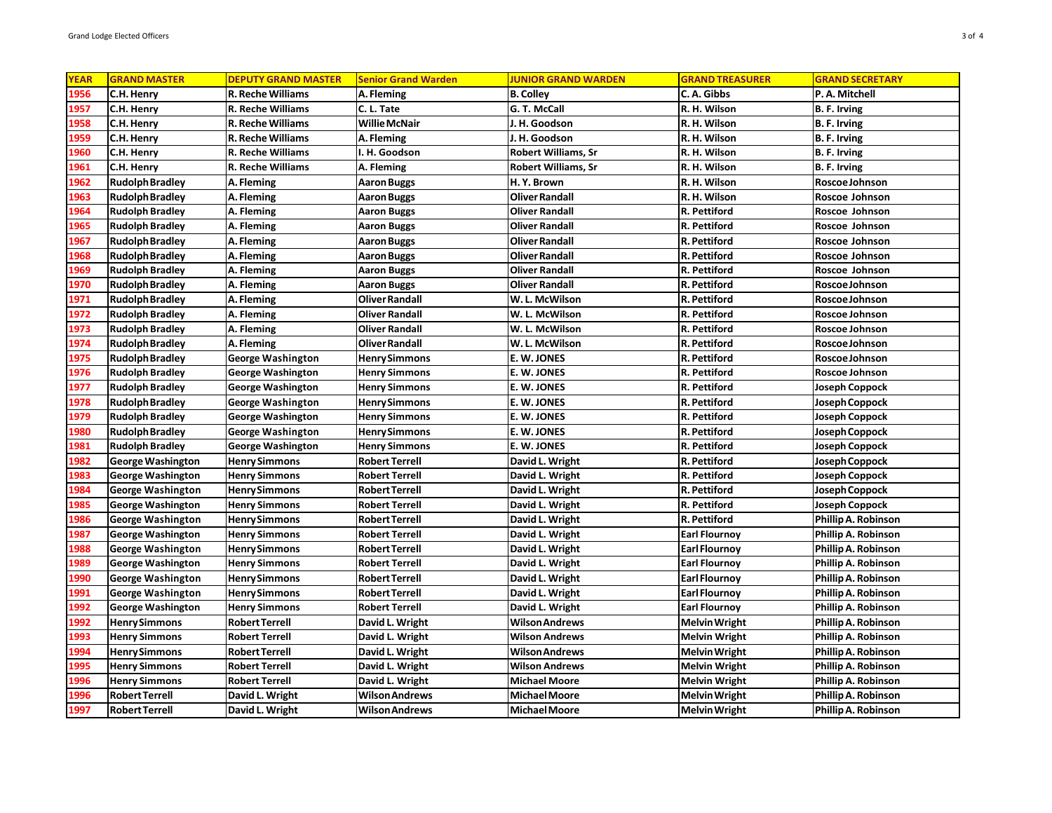| <b>YEAR</b> | <b>GRAND MASTER</b>      | <b>DEPUTY GRAND MASTER</b> | <b>Senior Grand Warden</b> | <b>JUNIOR GRAND WARDEN</b> | <b>GRAND TREASURER</b> | <b>GRAND SECRETARY</b> |
|-------------|--------------------------|----------------------------|----------------------------|----------------------------|------------------------|------------------------|
| 1956        | C.H. Henry               | R. Reche Williams          | A. Fleming                 | <b>B. Colley</b>           | C. A. Gibbs            | P.A. Mitchell          |
| 1957        | C.H. Henry               | <b>R. Reche Williams</b>   | C. L. Tate                 | G. T. McCall               | R. H. Wilson           | B. F. Irving           |
| 1958        | C.H. Henry               | <b>R. Reche Williams</b>   | <b>Willie McNair</b>       | J. H. Goodson              | R. H. Wilson           | <b>B. F. Irving</b>    |
| 1959        | C.H. Henry               | <b>R. Reche Williams</b>   | A. Fleming                 | J. H. Goodson              | R. H. Wilson           | <b>B. F. Irving</b>    |
| 1960        | C.H. Henry               | <b>R. Reche Williams</b>   | I. H. Goodson              | <b>Robert Williams, Sr</b> | R. H. Wilson           | B. F. Irving           |
| 1961        | C.H. Henry               | R. Reche Williams          | A. Fleming                 | <b>Robert Williams, Sr</b> | R. H. Wilson           | B. F. Irving           |
| 1962        | <b>Rudolph Bradley</b>   | A. Fleming                 | <b>Aaron Buggs</b>         | H. Y. Brown                | R. H. Wilson           | Roscoe Johnson         |
| 1963        | <b>Rudolph Bradley</b>   | A. Fleming                 | <b>Aaron Buggs</b>         | <b>Oliver Randall</b>      | R. H. Wilson           | Roscoe Johnson         |
| 1964        | <b>Rudolph Bradley</b>   | A. Fleming                 | <b>Aaron Buggs</b>         | <b>Oliver Randall</b>      | R. Pettiford           | Roscoe Johnson         |
| 1965        | <b>Rudolph Bradley</b>   | A. Fleming                 | <b>Aaron Buggs</b>         | <b>Oliver Randall</b>      | R. Pettiford           | Roscoe Johnson         |
| 1967        | <b>Rudolph Bradley</b>   | A. Fleming                 | Aaron Buggs                | <b>Oliver Randall</b>      | R. Pettiford           | Roscoe Johnson         |
| 1968        | <b>Rudolph Bradley</b>   | A. Fleming                 | <b>Aaron Buggs</b>         | <b>Oliver Randall</b>      | R. Pettiford           | Roscoe Johnson         |
| 1969        | <b>Rudolph Bradley</b>   | A. Fleming                 | <b>Aaron Buggs</b>         | <b>Oliver Randall</b>      | R. Pettiford           | Roscoe Johnson         |
| 1970        | <b>Rudolph Bradley</b>   | A. Fleming                 | <b>Aaron Buggs</b>         | <b>Oliver Randall</b>      | R. Pettiford           | Roscoe Johnson         |
| 1971        | <b>Rudolph Bradley</b>   | A. Fleming                 | <b>Oliver Randall</b>      | W.L. McWilson              | R. Pettiford           | Roscoe Johnson         |
| 1972        | <b>Rudolph Bradley</b>   | A. Fleming                 | <b>Oliver Randall</b>      | W. L. McWilson             | R. Pettiford           | Roscoe Johnson         |
| 1973        | <b>Rudolph Bradley</b>   | A. Fleming                 | <b>Oliver Randall</b>      | W. L. McWilson             | R. Pettiford           | Roscoe Johnson         |
| 1974        | <b>Rudolph Bradley</b>   | A. Fleming                 | <b>Oliver Randall</b>      | W. L. McWilson             | R. Pettiford           | Roscoe Johnson         |
| 1975        | <b>Rudolph Bradley</b>   | George Washington          | <b>Henry Simmons</b>       | E. W. JONES                | R. Pettiford           | Roscoe Johnson         |
| 1976        | <b>Rudolph Bradley</b>   | <b>George Washington</b>   | <b>Henry Simmons</b>       | E.W. JONES                 | R. Pettiford           | Roscoe Johnson         |
| 1977        | <b>Rudolph Bradley</b>   | <b>George Washington</b>   | <b>Henry Simmons</b>       | E.W. JONES                 | R. Pettiford           | <b>Joseph Coppock</b>  |
| 1978        | <b>Rudolph Bradley</b>   | George Washington          | <b>Henry Simmons</b>       | E. W. JONES                | R. Pettiford           | Joseph Coppock         |
| 1979        | <b>Rudolph Bradley</b>   | <b>George Washington</b>   | <b>Henry Simmons</b>       | E. W. JONES                | R. Pettiford           | <b>Joseph Coppock</b>  |
| 1980        | Rudolph Bradley          | George Washington          | <b>Henry Simmons</b>       | E.W. JONES                 | R. Pettiford           | Joseph Coppock         |
| 1981        | <b>Rudolph Bradley</b>   | <b>George Washington</b>   | <b>Henry Simmons</b>       | E. W. JONES                | R. Pettiford           | <b>Joseph Coppock</b>  |
| 1982        | <b>George Washington</b> | <b>Henry Simmons</b>       | <b>Robert Terrell</b>      | David L. Wright            | R. Pettiford           | Joseph Coppock         |
| 1983        | <b>George Washington</b> | <b>Henry Simmons</b>       | <b>Robert Terrell</b>      | David L. Wright            | R. Pettiford           | <b>Joseph Coppock</b>  |
| 1984        | George Washington        | <b>Henry Simmons</b>       | <b>Robert Terrell</b>      | David L. Wright            | R. Pettiford           | Joseph Coppock         |
| 1985        | <b>George Washington</b> | <b>Henry Simmons</b>       | <b>Robert Terrell</b>      | David L. Wright            | R. Pettiford           | Joseph Coppock         |
| 1986        | George Washington        | <b>Henry Simmons</b>       | <b>Robert Terrell</b>      | David L. Wright            | R. Pettiford           | Phillip A. Robinson    |
| 1987        | <b>George Washington</b> | <b>Henry Simmons</b>       | <b>Robert Terrell</b>      | David L. Wright            | <b>Earl Flournoy</b>   | Phillip A. Robinson    |
| 1988        | <b>George Washington</b> | <b>Henry Simmons</b>       | <b>Robert Terrell</b>      | David L. Wright            | <b>Earl Flournoy</b>   | Phillip A. Robinson    |
| 1989        | <b>George Washington</b> | <b>Henry Simmons</b>       | <b>Robert Terrell</b>      | David L. Wright            | <b>Earl Flournoy</b>   | Phillip A. Robinson    |
| 1990        | <b>George Washington</b> | <b>Henry Simmons</b>       | <b>Robert Terrell</b>      | David L. Wright            | <b>Earl Flournoy</b>   | Phillip A. Robinson    |
| 1991        | George Washington        | <b>Henry Simmons</b>       | <b>Robert Terrell</b>      | David L. Wright            | <b>Earl Flournoy</b>   | Phillip A. Robinson    |
| 1992        | <b>George Washington</b> | <b>Henry Simmons</b>       | <b>Robert Terrell</b>      | David L. Wright            | <b>Earl Flournoy</b>   | Phillip A. Robinson    |
| 1992        | <b>Henry Simmons</b>     | <b>Robert Terrell</b>      | David L. Wright            | <b>Wilson Andrews</b>      | <b>Melvin Wright</b>   | Phillip A. Robinson    |
| 1993        | <b>Henry Simmons</b>     | <b>Robert Terrell</b>      | David L. Wright            | <b>Wilson Andrews</b>      | <b>Melvin Wright</b>   | Phillip A. Robinson    |
| 1994        | <b>Henry Simmons</b>     | <b>Robert Terrell</b>      | David L. Wright            | <b>Wilson Andrews</b>      | <b>Melvin Wright</b>   | Phillip A. Robinson    |
| 1995        | <b>Henry Simmons</b>     | Robert Terrell             | David L. Wright            | <b>Wilson Andrews</b>      | <b>Melvin Wright</b>   | Phillip A. Robinson    |
| 1996        | <b>Henry Simmons</b>     | <b>Robert Terrell</b>      | David L. Wright            | <b>Michael Moore</b>       | <b>Melvin Wright</b>   | Phillip A. Robinson    |
| 1996        | <b>Robert Terrell</b>    | David L. Wright            | Wilson Andrews             | <b>Michael Moore</b>       | <b>Melvin Wright</b>   | Phillip A. Robinson    |
| 1997        | <b>Robert Terrell</b>    | David L. Wright            | <b>Wilson Andrews</b>      | <b>Michael Moore</b>       | <b>Melvin Wright</b>   | Phillip A. Robinson    |